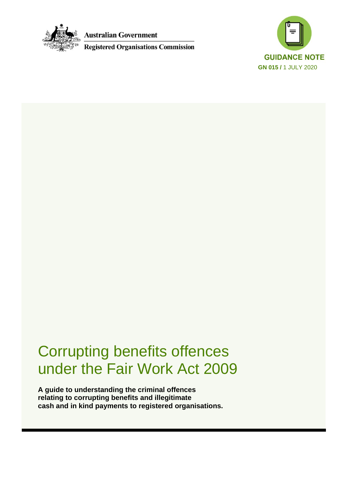

**Australian Government** 

**Registered Organisations Commission** 



# Corrupting benefits offences under the Fair Work Act 2009

**A guide to understanding the criminal offences relating to corrupting benefits and illegitimate cash and in kind payments to registered organisations.**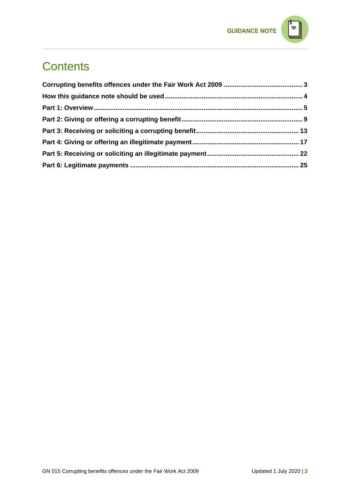

# **Contents**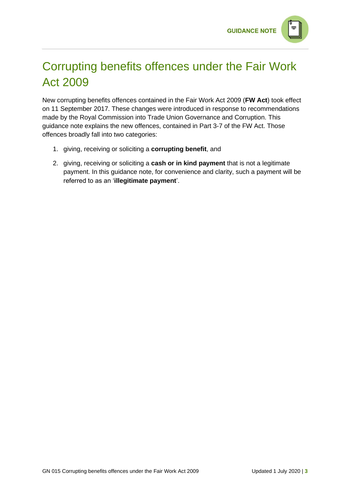

# <span id="page-2-0"></span>Corrupting benefits offences under the Fair Work Act 2009

New corrupting benefits offences contained in the Fair Work Act 2009 (**FW Act**) took effect on 11 September 2017. These changes were introduced in response to recommendations made by the Royal Commission into Trade Union Governance and Corruption. This guidance note explains the new offences, contained in Part 3-7 of the FW Act. Those offences broadly fall into two categories:

- 1. giving, receiving or soliciting a **corrupting benefit**, and
- 2. giving, receiving or soliciting a **cash or in kind payment** that is not a legitimate payment. In this guidance note, for convenience and clarity, such a payment will be referred to as an '**illegitimate payment**'.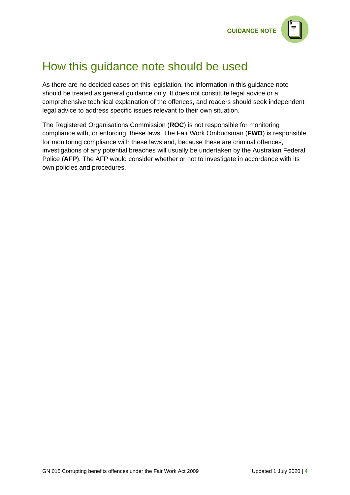

# <span id="page-3-0"></span>How this guidance note should be used

As there are no decided cases on this legislation, the information in this guidance note should be treated as general guidance only. It does not constitute legal advice or a comprehensive technical explanation of the offences, and readers should seek independent legal advice to address specific issues relevant to their own situation.

The Registered Organisations Commission (**ROC**) is not responsible for monitoring compliance with, or enforcing, these laws. The Fair Work Ombudsman (**FWO**) is responsible for monitoring compliance with these laws and, because these are criminal offences, investigations of any potential breaches will usually be undertaken by the Australian Federal Police (**AFP**). The AFP would consider whether or not to investigate in accordance with its own policies and procedures.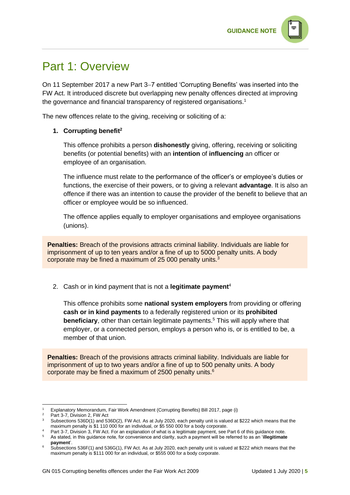

# <span id="page-4-0"></span>Part 1: Overview

On 11 September 2017 a new Part 3–7 entitled 'Corrupting Benefits' was inserted into the FW Act. It introduced discrete but overlapping new penalty offences directed at improving the governance and financial transparency of registered organisations.<sup>1</sup>

The new offences relate to the giving, receiving or soliciting of a:

#### **1. Corrupting benefit<sup>2</sup>**

This offence prohibits a person **dishonestly** giving, offering, receiving or soliciting benefits (or potential benefits) with an **intention** of **influencing** an officer or employee of an organisation.

The influence must relate to the performance of the officer's or employee's duties or functions, the exercise of their powers, or to giving a relevant **advantage**. It is also an offence if there was an intention to cause the provider of the benefit to believe that an officer or employee would be so influenced.

The offence applies equally to employer organisations and employee organisations (unions).

**Penalties:** Breach of the provisions attracts criminal liability. Individuals are liable for imprisonment of up to ten years and/or a fine of up to 5000 penalty units. A body corporate may be fined a maximum of 25 000 penalty units.<sup>3</sup>

2. Cash or in kind payment that is not a **legitimate payment**<sup>4</sup>

This offence prohibits some **national system employers** from providing or offering **cash or in kind payments** to a federally registered union or its **prohibited beneficiary**, other than certain legitimate payments.<sup>5</sup> This will apply where that employer, or a connected person, employs a person who is, or is entitled to be, a member of that union.

**Penalties:** Breach of the provisions attracts criminal liability. Individuals are liable for imprisonment of up to two years and/or a fine of up to 500 penalty units. A body corporate may be fined a maximum of 2500 penalty units.<sup>6</sup>

<sup>&</sup>lt;sup>1</sup> Explanatory Memorandum, Fair Work Amendment (Corrupting Benefits) Bill 2017, page (i)

<sup>&</sup>lt;sup>2</sup> Part 3-7, Division 2, FW Act

<sup>&</sup>lt;sup>3</sup> Subsections 536D(1) and 536D(2), FW Act. As at July 2020, each penalty unit is valued at \$222 which means that the maximum penalty is \$1 110 000 for an individual, or \$5 550 000 for a body corporate.

<sup>&</sup>lt;sup>4</sup> Part 3-7, Division 3, FW Act. For an explanation of what is a legitimate payment, see Part 6 of this guidance note. <sup>5</sup> As stated, in this guidance note, for convenience and clarity, such a payment will be referred to as an '**illegitimate payment**'.

<sup>6</sup> Subsections 536F(1) and 536G(1), FW Act. As at July 2020, each penalty unit is valued at \$222 which means that the maximum penalty is \$111 000 for an individual, or \$555 000 for a body corporate.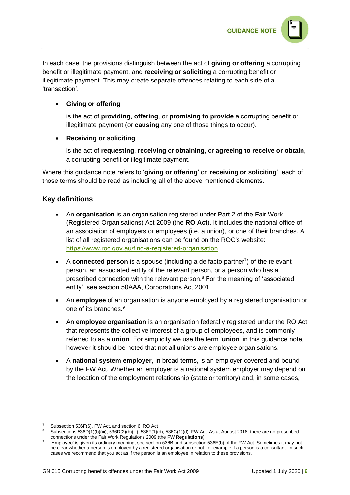

In each case, the provisions distinguish between the act of **giving or offering** a corrupting benefit or illegitimate payment, and **receiving or soliciting** a corrupting benefit or illegitimate payment. This may create separate offences relating to each side of a 'transaction'.

### • **Giving or offering**

is the act of **providing**, **offering**, or **promising to provide** a corrupting benefit or illegitimate payment (or **causing** any one of those things to occur).

#### • **Receiving or soliciting**

is the act of **requesting**, **receiving** or **obtaining**, or **agreeing to receive or obtain**, a corrupting benefit or illegitimate payment.

Where this guidance note refers to '**giving or offering**' or '**receiving or soliciting**', each of those terms should be read as including all of the above mentioned elements.

### **Key definitions**

- An **organisation** is an organisation registered under Part 2 of the Fair Work (Registered Organisations) Act 2009 (the **RO Act**). It includes the national office of an association of employers or employees (i.e. a union), or one of their branches. A list of all registered organisations can be found on the ROC's website: <https://www.roc.gov.au/find-a-registered-organisation>
- A **connected person** is a spouse (including a de facto partner<sup>7</sup>) of the relevant person, an associated entity of the relevant person, or a person who has a prescribed connection with the relevant person. $8$  For the meaning of 'associated entity', see section 50AAA, Corporations Act 2001.
- An **employee** of an organisation is anyone employed by a registered organisation or one of its branches.<sup>9</sup>
- An **employee organisation** is an organisation federally registered under the RO Act that represents the collective interest of a group of employees, and is commonly referred to as a **union**. For simplicity we use the term '**union**' in this guidance note, however it should be noted that not all unions are employee organisations.
- A **national system employer**, in broad terms, is an employer covered and bound by the FW Act. Whether an employer is a national system employer may depend on the location of the employment relationship (state or territory) and, in some cases,

Subsection 536F(6), FW Act, and section 6, RO Act

Subsections 536D(1)(b)(iii), 536D(2)(b)(iii), 536F(1)(d), 536G(1)(d), FW Act. As at August 2018, there are no prescribed connections under the Fair Work Regulations 2009 (the **FW Regulations**).

<sup>9</sup> 'Employee' is given its ordinary meaning, see section 536B and subsection 536E(b) of the FW Act. Sometimes it may not be clear whether a person is employed by a registered organisation or not, for example if a person is a consultant. In such cases we recommend that you act as if the person is an employee in relation to these provisions.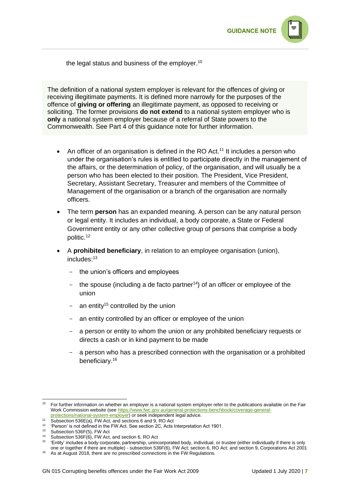

the legal status and business of the employer.<sup>10</sup>

The definition of a national system employer is relevant for the offences of giving or receiving illegitimate payments. It is defined more narrowly for the purposes of the offence of **giving or offering** an illegitimate payment, as opposed to receiving or soliciting. The former provisions **do not extend** to a national system employer who is **only** a national system employer because of a referral of State powers to the Commonwealth. See Part 4 of this guidance note for further information.

- An officer of an organisation is defined in the RO Act.<sup>11</sup> It includes a person who under the organisation's rules is entitled to participate directly in the management of the affairs, or the determination of policy, of the organisation, and will usually be a person who has been elected to their position. The President, Vice President, Secretary, Assistant Secretary, Treasurer and members of the Committee of Management of the organisation or a branch of the organisation are normally officers.
- The term **person** has an expanded meaning. A person can be any natural person or legal entity. It includes an individual, a body corporate, a State or Federal Government entity or any other collective group of persons that comprise a body politic.<sup>12</sup>
- A **prohibited beneficiary**, in relation to an employee organisation (union), includes:<sup>13</sup>
	- the union's officers and employees
	- the spouse (including a de facto partner<sup>14</sup>) of an officer or employee of the union
	- an entity<sup>15</sup> controlled by the union
	- an entity controlled by an officer or employee of the union
	- a person or entity to whom the union or any prohibited beneficiary requests or directs a cash or in kind payment to be made
	- a person who has a prescribed connection with the organisation or a prohibited beneficiary.<sup>16</sup>

<sup>&</sup>lt;sup>10</sup> For further information on whether an employer is a national system employer refer to the publications available on the Fair Work Commission website (se[e https://www.fwc.gov.au/general-protections-benchbook/coverage-general](https://www.fwc.gov.au/general-protections-benchbook/coverage-general-protections/national-system-employer)[protections/national-system-employer\)](https://www.fwc.gov.au/general-protections-benchbook/coverage-general-protections/national-system-employer) or seek independent legal advice.

<sup>11</sup> Subsection 536E(a), FW Act, and sections 6 and 9, RO Act

<sup>&</sup>lt;sup>12</sup> 'Person' is not defined in the FW Act. See section 2C, Acts Interpretation Act 1901.

<sup>13</sup> Subsection 536F(5), FW Act

<sup>14</sup> Subsection 536F(6), FW Act, and section 6, RO Act

<sup>15</sup> 'Entity' includes a body corporate, partnership, unincorporated body, individual, or trustee (either individually if there is only one or together if there are multiple) - subsection 536F(6), FW Act; section 6, RO Act; and section 9, Corporations Act 2001

<sup>&</sup>lt;sup>16</sup> As at August 2018, there are no prescribed connections in the FW Regulations.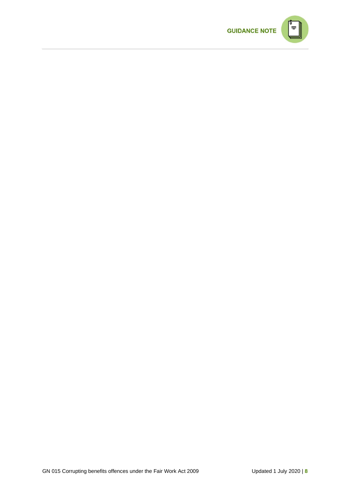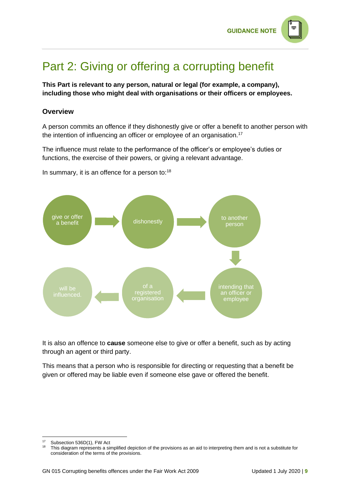

# <span id="page-8-0"></span>Part 2: Giving or offering a corrupting benefit

**This Part is relevant to any person, natural or legal (for example, a company), including those who might deal with organisations or their officers or employees.**

#### **Overview**

A person commits an offence if they dishonestly give or offer a benefit to another person with the intention of influencing an officer or employee of an organisation.<sup>17</sup>

The influence must relate to the performance of the officer's or employee's duties or functions, the exercise of their powers, or giving a relevant advantage.

In summary, it is an offence for a person to:<sup>18</sup>



It is also an offence to **cause** someone else to give or offer a benefit, such as by acting through an agent or third party.

This means that a person who is responsible for directing or requesting that a benefit be given or offered may be liable even if someone else gave or offered the benefit.

<sup>17</sup> Subsection 536D(1), FW Act

<sup>&</sup>lt;sup>18</sup> This diagram represents a simplified depiction of the provisions as an aid to interpreting them and is not a substitute for consideration of the terms of the provisions.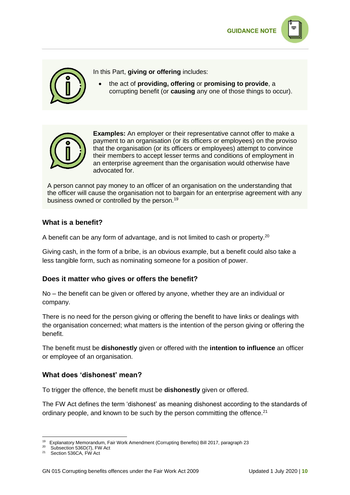



In this Part, **giving or offering** includes:

• the act of **providing, offering** or **promising to provide**, a corrupting benefit (or **causing** any one of those things to occur).



**Examples:** An employer or their representative cannot offer to make a payment to an organisation (or its officers or employees) on the proviso that the organisation (or its officers or employees) attempt to convince their members to accept lesser terms and conditions of employment in an enterprise agreement than the organisation would otherwise have advocated for.

A person cannot pay money to an officer of an organisation on the understanding that the officer will cause the organisation not to bargain for an enterprise agreement with any business owned or controlled by the person.<sup>19</sup>

### **What is a benefit?**

A benefit can be any form of advantage, and is not limited to cash or property.<sup>20</sup>

Giving cash, in the form of a bribe, is an obvious example, but a benefit could also take a less tangible form, such as nominating someone for a position of power.

### **Does it matter who gives or offers the benefit?**

No – the benefit can be given or offered by anyone, whether they are an individual or company.

There is no need for the person giving or offering the benefit to have links or dealings with the organisation concerned; what matters is the intention of the person giving or offering the benefit.

The benefit must be **dishonestly** given or offered with the **intention to influence** an officer or employee of an organisation.

#### **What does 'dishonest' mean?**

To trigger the offence, the benefit must be **dishonestly** given or offered.

The FW Act defines the term 'dishonest' as meaning dishonest according to the standards of ordinary people, and known to be such by the person committing the offence.<sup>21</sup>

<sup>&</sup>lt;sup>19</sup> Explanatory Memorandum, Fair Work Amendment (Corrupting Benefits) Bill 2017, paragraph 23

<sup>20</sup> Subsection 536D(7), FW Act

<sup>21</sup> Section 536CA, FW Act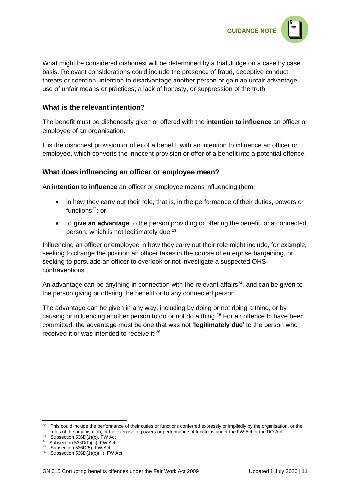

What might be considered dishonest will be determined by a trial Judge on a case by case basis. Relevant considerations could include the presence of fraud, deceptive conduct, threats or coercion, intention to disadvantage another person or gain an unfair advantage, use of unfair means or practices, a lack of honesty, or suppression of the truth.

#### **What is the relevant intention?**

The benefit must be dishonestly given or offered with the **intention to influence** an officer or employee of an organisation.

It is the dishonest provision or offer of a benefit, with an intention to influence an officer or employee, which converts the innocent provision or offer of a benefit into a potential offence.

#### **What does influencing an officer or employee mean?**

An **intention to influence** an officer or employee means influencing them:

- in how they carry out their role, that is, in the performance of their duties, powers or functions $22$ ; or
- to **give an advantage** to the person providing or offering the benefit, or a connected person, which is not legitimately due.<sup>23</sup>

Influencing an officer or employee in how they carry out their role might include, for example, seeking to change the position an officer takes in the course of enterprise bargaining, or seeking to persuade an officer to overlook or not investigate a suspected OHS contraventions.

An advantage can be anything in connection with the relevant affairs $24$ , and can be given to the person giving or offering the benefit or to any connected person.

The advantage can be given in any way, including by doing or not doing a thing, or by causing or influencing another person to do or not do a thing.<sup>25</sup> For an offence to have been committed, the advantage must be one that was not '**legitimately due**' to the person who received it or was intended to receive it.<sup>26</sup>

<sup>&</sup>lt;sup>22</sup> This could include the performance of their duties or functions conferred expressly or impliedly by the organisation, or the rules of the organisation; or the exercise of powers or performance of functions under the FW Act or the RO Act*.*

 $23$  Subsection 536D(1)(b), FW Act

<sup>&</sup>lt;sup>24</sup> Subsection 536D(b)(iii). FW Act

<sup>25</sup> Subsection 536D(5), FW Act

 $26$  Subsection 536D(1)(b)(iii), FW Act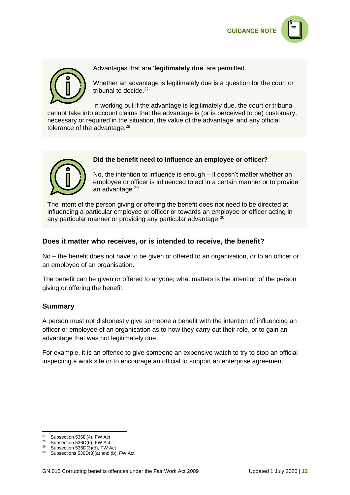



Advantages that are '**legitimately due**' are permitted.

Whether an advantage is legitimately due is a question for the court or tribunal to decide.<sup>27</sup>

In working out if the advantage is legitimately due, the court or tribunal cannot take into account claims that the advantage is (or is perceived to be) customary, necessary or required in the situation, the value of the advantage, and any official tolerance of the advantage.<sup>28</sup>

# **Did the benefit need to influence an employee or officer?**

No, the intention to influence is enough – it doesn't matter whether an employee or officer is influenced to act in a certain manner or to provide an advantage.<sup>29</sup>

The intent of the person giving or offering the benefit does not need to be directed at influencing a particular employee or officer or towards an employee or officer acting in any particular manner or providing any particular advantage.<sup>30</sup>

### **Does it matter who receives, or is intended to receive, the benefit?**

No – the benefit does not have to be given or offered to an organisation, or to an officer or an employee of an organisation.

The benefit can be given or offered to anyone; what matters is the intention of the person giving or offering the benefit.

# **Summary**

A person must not dishonestly give someone a benefit with the intention of influencing an officer or employee of an organisation as to how they carry out their role, or to gain an advantage that was not legitimately due.

For example, it is an offence to give someone an expensive watch to try to stop an official inspecting a work site or to encourage an official to support an enterprise agreement.

<sup>&</sup>lt;sup>27</sup> Subsection 536D(4), FW Act<br><sup>28</sup> Subsection 536D(6) FW Act

Subsection 536D(6), FW Act

 $29$  Subsection 536D(3)(d), FW Act

 $30$  Subsections 536D(3)(a) and (b), FW Act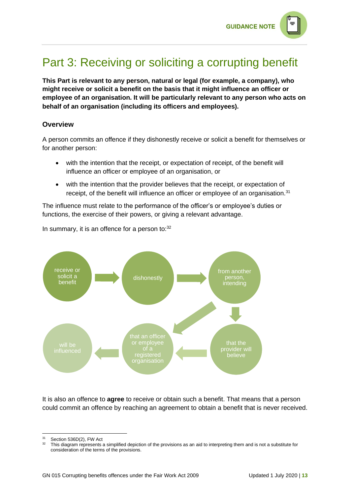

# <span id="page-12-0"></span>Part 3: Receiving or soliciting a corrupting benefit

**This Part is relevant to any person, natural or legal (for example, a company), who might receive or solicit a benefit on the basis that it might influence an officer or employee of an organisation. It will be particularly relevant to any person who acts on behalf of an organisation (including its officers and employees).**

#### **Overview**

A person commits an offence if they dishonestly receive or solicit a benefit for themselves or for another person:

- with the intention that the receipt, or expectation of receipt, of the benefit will influence an officer or employee of an organisation, or
- with the intention that the provider believes that the receipt, or expectation of receipt, of the benefit will influence an officer or employee of an organisation.<sup>31</sup>

The influence must relate to the performance of the officer's or employee's duties or functions, the exercise of their powers, or giving a relevant advantage.



In summary, it is an offence for a person to: $32$ 

It is also an offence to **agree** to receive or obtain such a benefit. That means that a person could commit an offence by reaching an agreement to obtain a benefit that is never received.

<sup>31</sup> Section 536D(2), FW Act

<sup>&</sup>lt;sup>32</sup> This diagram represents a simplified depiction of the provisions as an aid to interpreting them and is not a substitute for consideration of the terms of the provisions.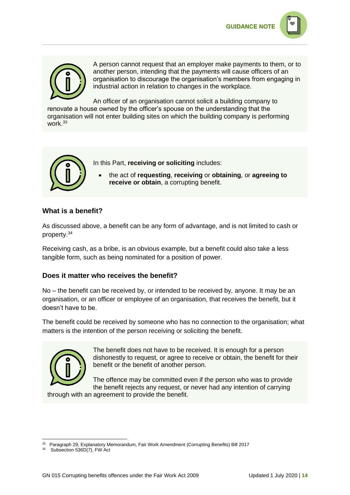



A person cannot request that an employer make payments to them, or to another person, intending that the payments will cause officers of an organisation to discourage the organisation's members from engaging in industrial action in relation to changes in the workplace.

An officer of an organisation cannot solicit a building company to renovate a house owned by the officer's spouse on the understanding that the organisation will not enter building sites on which the building company is performing work.<sup>33</sup>



In this Part, **receiving or soliciting** includes:

• the act of **requesting**, **receiving** or **obtaining**, or **agreeing to receive or obtain**, a corrupting benefit.

### **What is a benefit?**

As discussed above, a benefit can be any form of advantage, and is not limited to cash or property.<sup>34</sup>

Receiving cash, as a bribe, is an obvious example, but a benefit could also take a less tangible form, such as being nominated for a position of power.

#### **Does it matter who receives the benefit?**

No – the benefit can be received by, or intended to be received by, anyone. It may be an organisation, or an officer or employee of an organisation, that receives the benefit, but it doesn't have to be.

The benefit could be received by someone who has no connection to the organisation; what matters is the intention of the person receiving or soliciting the benefit.



The benefit does not have to be received. It is enough for a person dishonestly to request, or agree to receive or obtain, the benefit for their benefit or the benefit of another person.

The offence may be committed even if the person who was to provide the benefit rejects any request, or never had any intention of carrying

through with an agreement to provide the benefit.

<sup>&</sup>lt;sup>33</sup> Paragraph 29, Explanatory Memorandum, Fair Work Amendment (Corrupting Benefits) Bill 2017

<sup>34</sup> Subsection 536D(7), FW Act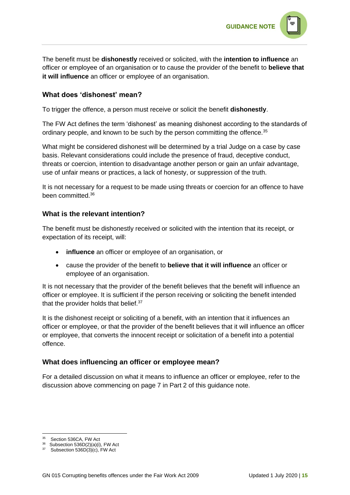

The benefit must be **dishonestly** received or solicited, with the **intention to influence** an officer or employee of an organisation or to cause the provider of the benefit to **believe that it will influence** an officer or employee of an organisation.

### **What does 'dishonest' mean?**

To trigger the offence, a person must receive or solicit the benefit **dishonestly**.

The FW Act defines the term 'dishonest' as meaning dishonest according to the standards of ordinary people, and known to be such by the person committing the offence.<sup>35</sup>

What might be considered dishonest will be determined by a trial Judge on a case by case basis. Relevant considerations could include the presence of fraud, deceptive conduct, threats or coercion, intention to disadvantage another person or gain an unfair advantage, use of unfair means or practices, a lack of honesty, or suppression of the truth.

It is not necessary for a request to be made using threats or coercion for an offence to have been committed.<sup>36</sup>

#### **What is the relevant intention?**

The benefit must be dishonestly received or solicited with the intention that its receipt, or expectation of its receipt, will:

- **influence** an officer or employee of an organisation, or
- cause the provider of the benefit to **believe that it will influence** an officer or employee of an organisation.

It is not necessary that the provider of the benefit believes that the benefit will influence an officer or employee. It is sufficient if the person receiving or soliciting the benefit intended that the provider holds that belief.<sup>37</sup>

It is the dishonest receipt or soliciting of a benefit, with an intention that it influences an officer or employee, or that the provider of the benefit believes that it will influence an officer or employee, that converts the innocent receipt or solicitation of a benefit into a potential offence.

#### **What does influencing an officer or employee mean?**

For a detailed discussion on what it means to influence an officer or employee, refer to the discussion above commencing on page 7 in Part 2 of this guidance note.

<sup>&</sup>lt;sup>35</sup> Section 536CA, FW Act

<sup>36</sup> Subsection 536D(2)(a)(i), FW Act

<sup>37</sup> Subsection 536D(3)(c), FW Act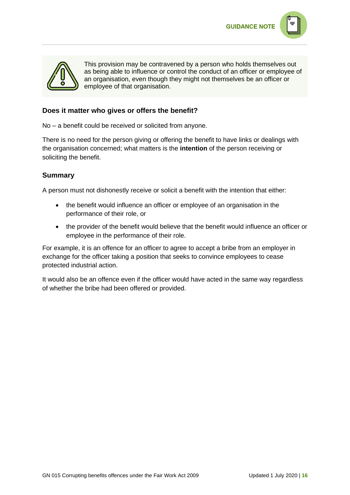



This provision may be contravened by a person who holds themselves out as being able to influence or control the conduct of an officer or employee of an organisation, even though they might not themselves be an officer or employee of that organisation.

#### **Does it matter who gives or offers the benefit?**

No – a benefit could be received or solicited from anyone.

There is no need for the person giving or offering the benefit to have links or dealings with the organisation concerned; what matters is the **intention** of the person receiving or soliciting the benefit.

### **Summary**

A person must not dishonestly receive or solicit a benefit with the intention that either:

- the benefit would influence an officer or employee of an organisation in the performance of their role, or
- the provider of the benefit would believe that the benefit would influence an officer or employee in the performance of their role.

For example, it is an offence for an officer to agree to accept a bribe from an employer in exchange for the officer taking a position that seeks to convince employees to cease protected industrial action.

It would also be an offence even if the officer would have acted in the same way regardless of whether the bribe had been offered or provided.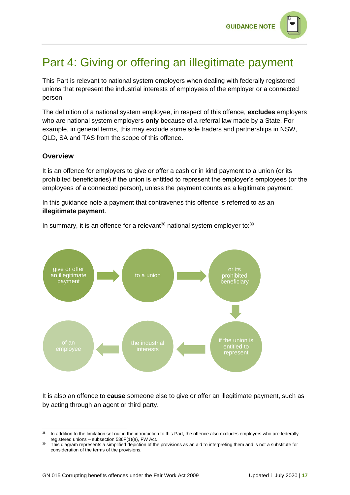

# <span id="page-16-0"></span>Part 4: Giving or offering an illegitimate payment

This Part is relevant to national system employers when dealing with federally registered unions that represent the industrial interests of employees of the employer or a connected person.

The definition of a national system employee, in respect of this offence, **excludes** employers who are national system employers **only** because of a referral law made by a State. For example, in general terms, this may exclude some sole traders and partnerships in NSW, QLD, SA and TAS from the scope of this offence.

### **Overview**

It is an offence for employers to give or offer a cash or in kind payment to a union (or its prohibited beneficiaries) if the union is entitled to represent the employer's employees (or the employees of a connected person), unless the payment counts as a legitimate payment.

In this guidance note a payment that contravenes this offence is referred to as an **illegitimate payment**.



In summary, it is an offence for a relevant<sup>38</sup> national system employer to: $39$ 

It is also an offence to **cause** someone else to give or offer an illegitimate payment, such as by acting through an agent or third party.

<sup>38</sup> In addition to the limitation set out in the introduction to this Part, the offence also excludes employers who are federally registered unions – subsection 536F(1)(a), FW Act.

<sup>&</sup>lt;sup>39</sup> This diagram represents a simplified depiction of the provisions as an aid to interpreting them and is not a substitute for consideration of the terms of the provisions.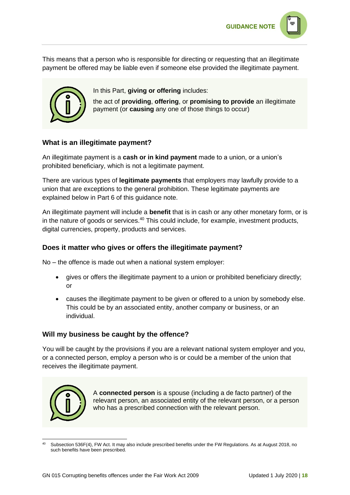

This means that a person who is responsible for directing or requesting that an illegitimate payment be offered may be liable even if someone else provided the illegitimate payment.



In this Part, **giving or offering** includes:

the act of **providing**, **offering**, or **promising to provide** an illegitimate payment (or **causing** any one of those things to occur)

### **What is an illegitimate payment?**

An illegitimate payment is a **cash or in kind payment** made to a union, or a union's prohibited beneficiary, which is not a legitimate payment.

There are various types of **legitimate payments** that employers may lawfully provide to a union that are exceptions to the general prohibition. These legitimate payments are explained below in Part 6 of this guidance note.

An illegitimate payment will include a **benefit** that is in cash or any other monetary form, or is in the nature of goods or services. $40$  This could include, for example, investment products, digital currencies, property, products and services.

### **Does it matter who gives or offers the illegitimate payment?**

No – the offence is made out when a national system employer:

- gives or offers the illegitimate payment to a union or prohibited beneficiary directly; or
- causes the illegitimate payment to be given or offered to a union by somebody else. This could be by an associated entity, another company or business, or an individual.

### **Will my business be caught by the offence?**

You will be caught by the provisions if you are a relevant national system employer and you, or a connected person, employ a person who is or could be a member of the union that receives the illegitimate payment.



A **connected person** is a spouse (including a de facto partner) of the relevant person, an associated entity of the relevant person, or a person who has a prescribed connection with the relevant person.

<sup>40</sup> Subsection 536F(4), FW Act. It may also include prescribed benefits under the FW Regulations. As at August 2018, no such benefits have been prescribed.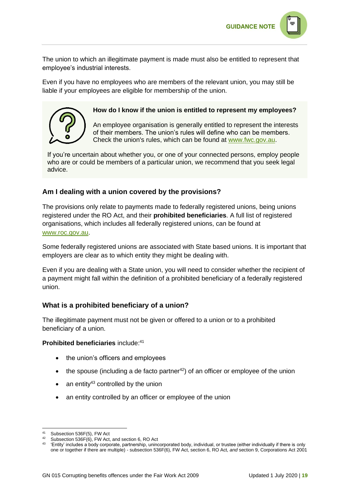

The union to which an illegitimate payment is made must also be entitled to represent that employee's industrial interests.

Even if you have no employees who are members of the relevant union, you may still be liable if your employees are eligible for membership of the union.



#### **How do I know if the union is entitled to represent my employees?**

An employee organisation is generally entitled to represent the interests of their members. The union's rules will define who can be members. Check the union's rules, which can be found at [www.fwc.gov.au.](http://www.fwc.gov.au/)

If you're uncertain about whether you, or one of your connected persons, employ people who are or could be members of a particular union, we recommend that you seek legal advice.

### **Am I dealing with a union covered by the provisions?**

The provisions only relate to payments made to federally registered unions, being unions registered under the RO Act, and their **prohibited beneficiaries**. A full list of registered organisations, which includes all federally registered unions, can be found at [www.roc.gov.au.](https://www.roc.gov.au/)

Some federally registered unions are associated with State based unions. It is important that employers are clear as to which entity they might be dealing with.

Even if you are dealing with a State union, you will need to consider whether the recipient of a payment might fall within the definition of a prohibited beneficiary of a federally registered union.

### **What is a prohibited beneficiary of a union?**

The illegitimate payment must not be given or offered to a union or to a prohibited beneficiary of a union.

#### **Prohibited beneficiaries** include:<sup>41</sup>

- the union's officers and employees
- the spouse (including a de facto partner<sup>42</sup>) of an officer or employee of the union
- an entity<sup>43</sup> controlled by the union
- an entity controlled by an officer or employee of the union

<sup>&</sup>lt;sup>41</sup> Subsection 536F(5), FW Act<br><sup>42</sup> Subsection 536F(6), FW Act

Subsection 536F(6), FW Act, and section 6, RO Act

<sup>43 &#</sup>x27;Entity' includes a body corporate, partnership, unincorporated body, individual, or trustee (either individually if there is only one or together if there are multiple) - subsection 536F(6), FW Act, section 6, RO Act*, and* section 9, Corporations Act 2001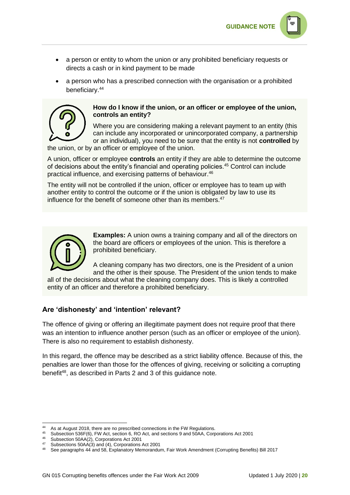

- a person or entity to whom the union or any prohibited beneficiary requests or directs a cash or in kind payment to be made
- a person who has a prescribed connection with the organisation or a prohibited beneficiary.<sup>44</sup>



#### **How do I know if the union, or an officer or employee of the union, controls an entity?**

Where you are considering making a relevant payment to an entity (this can include any incorporated or unincorporated company, a partnership or an individual), you need to be sure that the entity is not **controlled** by

the union, or by an officer or employee of the union.

A union, officer or employee **controls** an entity if they are able to determine the outcome of decisions about the entity's financial and operating policies.<sup>45</sup> Control can include practical influence, and exercising patterns of behaviour.<sup>46</sup>

The entity will not be controlled if the union, officer or employee has to team up with another entity to control the outcome or if the union is obligated by law to use its influence for the benefit of someone other than its members.<sup>47</sup>



**Examples:** A union owns a training company and all of the directors on the board are officers or employees of the union. This is therefore a prohibited beneficiary.

A cleaning company has two directors, one is the President of a union and the other is their spouse. The President of the union tends to make

all of the decisions about what the cleaning company does. This is likely a controlled entity of an officer and therefore a prohibited beneficiary.

### **Are 'dishonesty' and 'intention' relevant?**

The offence of giving or offering an illegitimate payment does not require proof that there was an intention to influence another person (such as an officer or employee of the union). There is also no requirement to establish dishonesty.

In this regard, the offence may be described as a strict liability offence. Because of this, the penalties are lower than those for the offences of giving, receiving or soliciting a corrupting benefit<sup>48</sup>, as described in Parts 2 and 3 of this guidance note.

<sup>44</sup> As at August 2018, there are no prescribed connections in the FW Regulations.

<sup>45</sup> Subsection 536F(6), FW Act, section 6, RO Act, and sections 9 and 50AA, Corporations Act 2001

<sup>46</sup> Subsection 50AA(2), Corporations Act 2001

<sup>&</sup>lt;sup>47</sup> Subsections 50AA $(3)$  and (4), Corporations Act 2001

<sup>48</sup> See paragraphs 44 and 58, Explanatory Memorandum, Fair Work Amendment (Corrupting Benefits) Bill 2017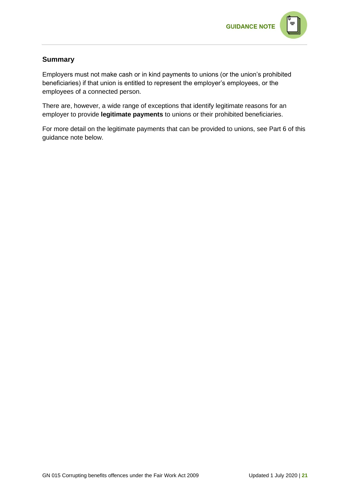

### **Summary**

Employers must not make cash or in kind payments to unions (or the union's prohibited beneficiaries) if that union is entitled to represent the employer's employees, or the employees of a connected person.

There are, however, a wide range of exceptions that identify legitimate reasons for an employer to provide **legitimate payments** to unions or their prohibited beneficiaries.

For more detail on the legitimate payments that can be provided to unions, see Part 6 of this guidance note below.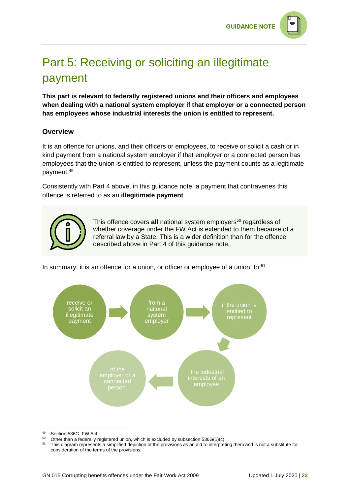

# <span id="page-21-0"></span>Part 5: Receiving or soliciting an illegitimate payment

**This part is relevant to federally registered unions and their officers and employees when dealing with a national system employer if that employer or a connected person has employees whose industrial interests the union is entitled to represent.**

#### **Overview**

It is an offence for unions, and their officers or employees, to receive or solicit a cash or in kind payment from a national system employer if that employer or a connected person has employees that the union is entitled to represent, unless the payment counts as a legitimate payment.<sup>49</sup>

Consistently with Part 4 above, in this guidance note, a payment that contravenes this offence is referred to as an **illegitimate payment**.



This offence covers all national system employers<sup>50</sup> regardless of whether coverage under the FW Act is extended to them because of a referral law by a State. This is a wider definition than for the offence described above in Part 4 of this guidance note.

In summary, it is an offence for a union, or officer or employee of a union, to: $51$ 



 $^{49}$  Section 536G, FW Act

Other than a federally registered union, which is excluded by subsection  $536G(1)(c)$ 

<sup>51</sup> This diagram represents a simplified depiction of the provisions as an aid to interpreting them and is not a substitute for consideration of the terms of the provisions.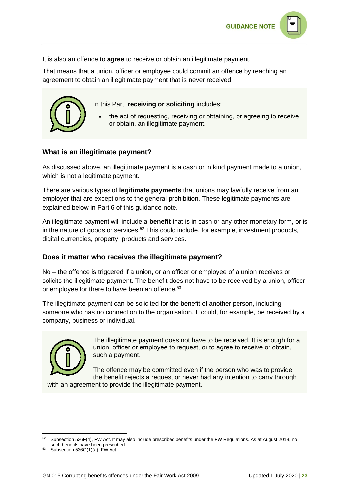

It is also an offence to **agree** to receive or obtain an illegitimate payment.

That means that a union, officer or employee could commit an offence by reaching an agreement to obtain an illegitimate payment that is never received.



In this Part, **receiving or soliciting** includes:

• the act of requesting, receiving or obtaining, or agreeing to receive or obtain, an illegitimate payment.

### **What is an illegitimate payment?**

As discussed above, an illegitimate payment is a cash or in kind payment made to a union, which is not a legitimate payment.

There are various types of **legitimate payments** that unions may lawfully receive from an employer that are exceptions to the general prohibition. These legitimate payments are explained below in Part 6 of this guidance note.

An illegitimate payment will include a **benefit** that is in cash or any other monetary form, or is in the nature of goods or services. $52$  This could include, for example, investment products, digital currencies, property, products and services.

### **Does it matter who receives the illegitimate payment?**

No – the offence is triggered if a union, or an officer or employee of a union receives or solicits the illegitimate payment. The benefit does not have to be received by a union, officer or employee for there to have been an offence.<sup>53</sup>

The illegitimate payment can be solicited for the benefit of another person, including someone who has no connection to the organisation. It could, for example, be received by a company, business or individual.



The illegitimate payment does not have to be received. It is enough for a union, officer or employee to request, or to agree to receive or obtain, such a payment.

The offence may be committed even if the person who was to provide the benefit rejects a request or never had any intention to carry through

with an agreement to provide the illegitimate payment.

<sup>52</sup> Subsection 536F(4), FW Act. It may also include prescribed benefits under the FW Regulations. As at August 2018, no such benefits have been prescribed.

<sup>53</sup> Subsection 536G(1)(a), FW Act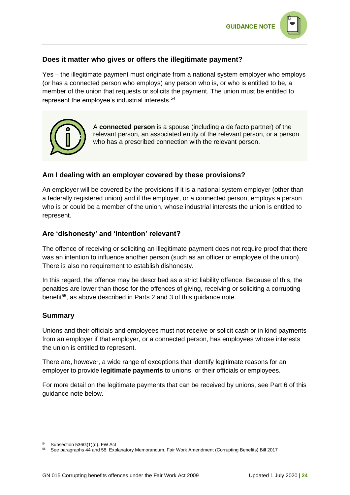

### **Does it matter who gives or offers the illegitimate payment?**

Yes – the illegitimate payment must originate from a national system employer who employs (or has a connected person who employs) any person who is, or who is entitled to be, a member of the union that requests or solicits the payment. The union must be entitled to represent the employee's industrial interests.<sup>54</sup>



A **connected person** is a spouse (including a de facto partner) of the relevant person, an associated entity of the relevant person, or a person who has a prescribed connection with the relevant person.

### **Am I dealing with an employer covered by these provisions?**

An employer will be covered by the provisions if it is a national system employer (other than a federally registered union) and if the employer, or a connected person, employs a person who is or could be a member of the union, whose industrial interests the union is entitled to represent.

### **Are 'dishonesty' and 'intention' relevant?**

The offence of receiving or soliciting an illegitimate payment does not require proof that there was an intention to influence another person (such as an officer or employee of the union). There is also no requirement to establish dishonesty.

In this regard, the offence may be described as a strict liability offence. Because of this, the penalties are lower than those for the offences of giving, receiving or soliciting a corrupting benefit<sup>55</sup>, as above described in Parts 2 and 3 of this guidance note.

### **Summary**

Unions and their officials and employees must not receive or solicit cash or in kind payments from an employer if that employer, or a connected person, has employees whose interests the union is entitled to represent.

There are, however, a wide range of exceptions that identify legitimate reasons for an employer to provide **legitimate payments** to unions, or their officials or employees.

For more detail on the legitimate payments that can be received by unions, see Part 6 of this guidance note below.

<sup>54</sup> Subsection 536G(1)(d), FW Act

<sup>55</sup> See paragraphs 44 and 58, Explanatory Memorandum, Fair Work Amendment (Corrupting Benefits) Bill 2017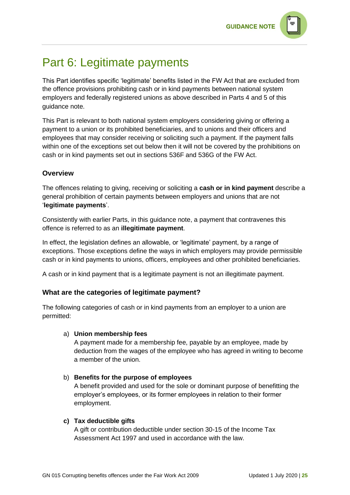# <span id="page-24-0"></span>Part 6: Legitimate payments

This Part identifies specific 'legitimate' benefits listed in the FW Act that are excluded from the offence provisions prohibiting cash or in kind payments between national system employers and federally registered unions as above described in Parts 4 and 5 of this guidance note.

This Part is relevant to both national system employers considering giving or offering a payment to a union or its prohibited beneficiaries, and to unions and their officers and employees that may consider receiving or soliciting such a payment. If the payment falls within one of the exceptions set out below then it will not be covered by the prohibitions on cash or in kind payments set out in sections 536F and 536G of the FW Act.

### **Overview**

The offences relating to giving, receiving or soliciting a **cash or in kind payment** describe a general prohibition of certain payments between employers and unions that are not '**legitimate payments**'.

Consistently with earlier Parts, in this guidance note, a payment that contravenes this offence is referred to as an **illegitimate payment**.

In effect, the legislation defines an allowable, or 'legitimate' payment, by a range of exceptions. Those exceptions define the ways in which employers may provide permissible cash or in kind payments to unions, officers, employees and other prohibited beneficiaries.

A cash or in kind payment that is a legitimate payment is not an illegitimate payment.

### **What are the categories of legitimate payment?**

The following categories of cash or in kind payments from an employer to a union are permitted:

### a) **Union membership fees**

A payment made for a membership fee, payable by an employee, made by deduction from the wages of the employee who has agreed in writing to become a member of the union.

### b) **Benefits for the purpose of employees**

A benefit provided and used for the sole or dominant purpose of benefitting the employer's employees, or its former employees in relation to their former employment.

### **c) Tax deductible gifts**

A gift or contribution deductible under section 30-15 of the Income Tax Assessment Act 1997 and used in accordance with the law.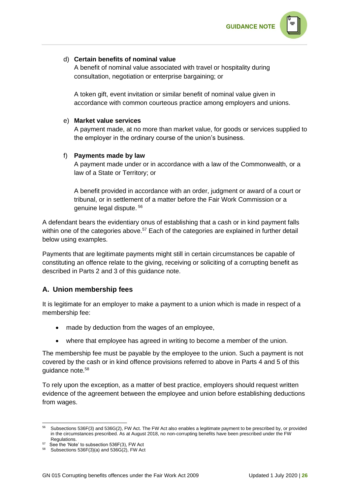

#### d) **Certain benefits of nominal value**

A benefit of nominal value associated with travel or hospitality during consultation, negotiation or enterprise bargaining; or

A token gift, event invitation or similar benefit of nominal value given in accordance with common courteous practice among employers and unions.

#### e) **Market value services**

A payment made, at no more than market value, for goods or services supplied to the employer in the ordinary course of the union's business.

#### f) **Payments made by law**

A payment made under or in accordance with a law of the Commonwealth, or a law of a State or Territory; or

A benefit provided in accordance with an order, judgment or award of a court or tribunal, or in settlement of a matter before the Fair Work Commission or a genuine legal dispute. <sup>56</sup>

A defendant bears the evidentiary onus of establishing that a cash or in kind payment falls within one of the categories above.<sup>57</sup> Each of the categories are explained in further detail below using examples.

Payments that are legitimate payments might still in certain circumstances be capable of constituting an offence relate to the giving, receiving or soliciting of a corrupting benefit as described in Parts 2 and 3 of this guidance note.

# **A. Union membership fees**

It is legitimate for an employer to make a payment to a union which is made in respect of a membership fee:

- made by deduction from the wages of an employee,
- where that employee has agreed in writing to become a member of the union.

The membership fee must be payable by the employee to the union. Such a payment is not covered by the cash or in kind offence provisions referred to above in Parts 4 and 5 of this guidance note.<sup>58</sup>

To rely upon the exception, as a matter of best practice, employers should request written evidence of the agreement between the employee and union before establishing deductions from wages.

<sup>56</sup> Subsections 536F(3) and 536G(2), FW Act. The FW Act also enables a legitimate payment to be prescribed by, or provided in the circumstances prescribed. As at August 2018, no non-corrupting benefits have been prescribed under the FW Regulations.

<sup>&</sup>lt;sup>57</sup> See the 'Note' to subsection 536F(3), FW Act

 $58$  Subsections 536F(3)(a) and 536G(2), FW Act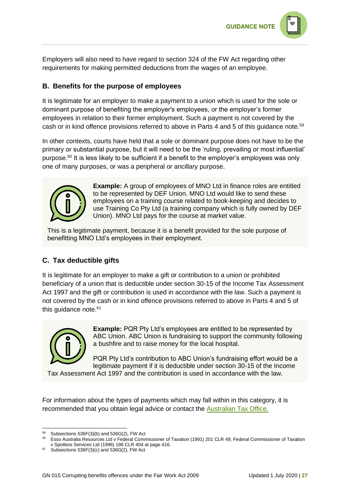

Employers will also need to have regard to section 324 of the FW Act regarding other requirements for making permitted deductions from the wages of an employee.

### **B. Benefits for the purpose of employees**

It is legitimate for an employer to make a payment to a union which is used for the sole or dominant purpose of benefiting the employer's employees, or the employer's former employees in relation to their former employment. Such a payment is not covered by the cash or in kind offence provisions referred to above in Parts 4 and 5 of this quidance note.<sup>59</sup>

In other contexts, courts have held that a sole or dominant purpose does not have to be the primary or substantial purpose, but it will need to be the 'ruling, prevailing or most influential' purpose.<sup>60</sup> It is less likely to be sufficient if a benefit to the employer's employees was only one of many purposes, or was a peripheral or ancillary purpose.



**Example:** A group of employees of MNO Ltd in finance roles are entitled to be represented by DEF Union. MNO Ltd would like to send these employees on a training course related to book-keeping and decides to use Training Co Pty Ltd (a training company which is fully owned by DEF Union). MNO Ltd pays for the course at market value.

This is a legitimate payment, because it is a benefit provided for the sole purpose of benefitting MNO Ltd's employees in their employment.

# **C. Tax deductible gifts**

It is legitimate for an employer to make a gift or contribution to a union or prohibited beneficiary of a union that is deductible under section 30-15 of the Income Tax Assessment Act 1997 and the gift or contribution is used in accordance with the law. Such a payment is not covered by the cash or in kind offence provisions referred to above in Parts 4 and 5 of this quidance note.<sup>61</sup>



**Example:** PQR Pty Ltd's employees are entitled to be represented by ABC Union. ABC Union is fundraising to support the community following a bushfire and to raise money for the local hospital.

PQR Pty Ltd's contribution to ABC Union's fundraising effort would be a legitimate payment if it is deductible under section 30-15 of the Income Tax Assessment Act 1997 and the contribution is used in accordance with the law.

For information about the types of payments which may fall within in this category, it is recommended that you obtain legal advice or contact the [Australian Tax Office.](https://www.ato.gov.au/)

 $59$  Subsections 536F(3)(b) and 536G(2), FW Act

<sup>60</sup> Esso Australia Resources Ltd v Federal Commissioner of Taxation (1991) 201 CLR 49; Federal Commissioner of Taxation

v Spotless Services Ltd (1996) 186 CLR 404 at page 416.

 $61$  Subsections 536F(3)(c) and 536G(2), FW Act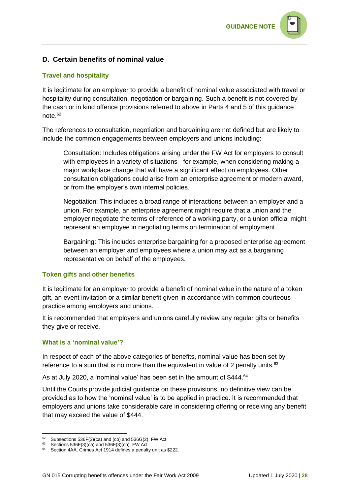

### **D. Certain benefits of nominal value**

#### **Travel and hospitality**

It is legitimate for an employer to provide a benefit of nominal value associated with travel or hospitality during consultation, negotiation or bargaining. Such a benefit is not covered by the cash or in kind offence provisions referred to above in Parts 4 and 5 of this guidance note.<sup>62</sup>

The references to consultation, negotiation and bargaining are not defined but are likely to include the common engagements between employers and unions including:

Consultation: Includes obligations arising under the FW Act for employers to consult with employees in a variety of situations - for example, when considering making a major workplace change that will have a significant effect on employees. Other consultation obligations could arise from an enterprise agreement or modern award, or from the employer's own internal policies.

Negotiation: This includes a broad range of interactions between an employer and a union. For example, an enterprise agreement might require that a union and the employer negotiate the terms of reference of a working party, or a union official might represent an employee in negotiating terms on termination of employment.

Bargaining: This includes enterprise bargaining for a proposed enterprise agreement between an employer and employees where a union may act as a bargaining representative on behalf of the employees.

#### **Token gifts and other benefits**

It is legitimate for an employer to provide a benefit of nominal value in the nature of a token gift, an event invitation or a similar benefit given in accordance with common courteous practice among employers and unions.

It is recommended that employers and unions carefully review any regular gifts or benefits they give or receive.

#### **What is a 'nominal value'?**

In respect of each of the above categories of benefits, nominal value has been set by reference to a sum that is no more than the equivalent in value of 2 penalty units. $63$ 

As at July 2020, a 'nominal value' has been set in the amount of \$444.<sup>64</sup>

Until the Courts provide judicial guidance on these provisions, no definitive view can be provided as to how the 'nominal value' is to be applied in practice. It is recommended that employers and unions take considerable care in considering offering or receiving any benefit that may exceed the value of \$444.

 $62$  Subsections 536F(3)(ca) and (cb) and 536G(2), FW Act

 $63$  Sections 536F(3)(ca) and 536F(3)(cb), FW Act

<sup>&</sup>lt;sup>64</sup> Section 4AA, Crimes Act 1914 defines a penalty unit as \$222.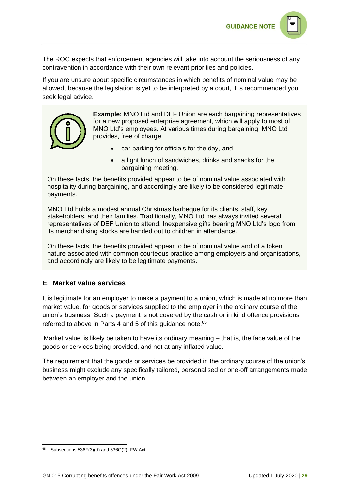**GUIDANCE NOTE** 



The ROC expects that enforcement agencies will take into account the seriousness of any contravention in accordance with their own relevant priorities and policies.

If you are unsure about specific circumstances in which benefits of nominal value may be allowed, because the legislation is yet to be interpreted by a court, it is recommended you seek legal advice.



**Example:** MNO Ltd and DEF Union are each bargaining representatives for a new proposed enterprise agreement, which will apply to most of MNO Ltd's employees. At various times during bargaining, MNO Ltd provides, free of charge:

- car parking for officials for the day, and
- a light lunch of sandwiches, drinks and snacks for the bargaining meeting.

On these facts, the benefits provided appear to be of nominal value associated with hospitality during bargaining, and accordingly are likely to be considered legitimate payments.

MNO Ltd holds a modest annual Christmas barbeque for its clients, staff, key stakeholders, and their families. Traditionally, MNO Ltd has always invited several representatives of DEF Union to attend. Inexpensive gifts bearing MNO Ltd's logo from its merchandising stocks are handed out to children in attendance.

On these facts, the benefits provided appear to be of nominal value and of a token nature associated with common courteous practice among employers and organisations, and accordingly are likely to be legitimate payments.

# **E. Market value services**

It is legitimate for an employer to make a payment to a union, which is made at no more than market value, for goods or services supplied to the employer in the ordinary course of the union's business. Such a payment is not covered by the cash or in kind offence provisions referred to above in Parts 4 and 5 of this quidance note.<sup>65</sup>

'Market value' is likely be taken to have its ordinary meaning – that is, the face value of the goods or services being provided, and not at any inflated value.

The requirement that the goods or services be provided in the ordinary course of the union's business might exclude any specifically tailored, personalised or one-off arrangements made between an employer and the union.

 $65$  Subsections 536F(3)(d) and 536G(2), FW Act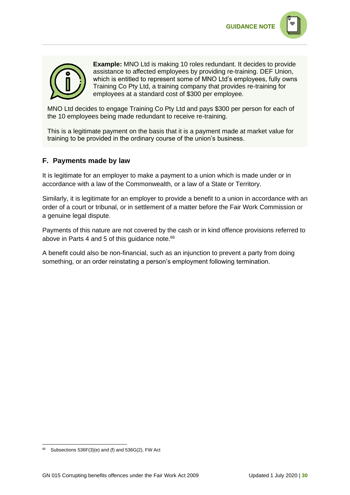



**Example:** MNO Ltd is making 10 roles redundant. It decides to provide assistance to affected employees by providing re-training. DEF Union, which is entitled to represent some of MNO Ltd's employees, fully owns Training Co Pty Ltd, a training company that provides re-training for employees at a standard cost of \$300 per employee.

MNO Ltd decides to engage Training Co Pty Ltd and pays \$300 per person for each of the 10 employees being made redundant to receive re-training.

This is a legitimate payment on the basis that it is a payment made at market value for training to be provided in the ordinary course of the union's business.

### **F. Payments made by law**

It is legitimate for an employer to make a payment to a union which is made under or in accordance with a law of the Commonwealth, or a law of a State or Territory.

Similarly, it is legitimate for an employer to provide a benefit to a union in accordance with an order of a court or tribunal, or in settlement of a matter before the Fair Work Commission or a genuine legal dispute.

Payments of this nature are not covered by the cash or in kind offence provisions referred to above in Parts 4 and 5 of this guidance note.<sup>66</sup>

A benefit could also be non-financial, such as an injunction to prevent a party from doing something, or an order reinstating a person's employment following termination.

 $66$  Subsections 536F(3)(e) and (f) and 536G(2), FW Act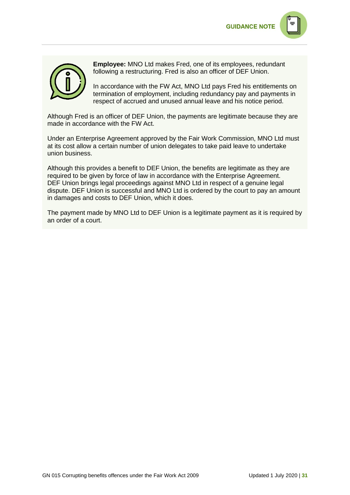



**Employee:** MNO Ltd makes Fred, one of its employees, redundant following a restructuring. Fred is also an officer of DEF Union.

In accordance with the FW Act, MNO Ltd pays Fred his entitlements on termination of employment, including redundancy pay and payments in respect of accrued and unused annual leave and his notice period.

Although Fred is an officer of DEF Union, the payments are legitimate because they are made in accordance with the FW Act.

Under an Enterprise Agreement approved by the Fair Work Commission, MNO Ltd must at its cost allow a certain number of union delegates to take paid leave to undertake union business.

Although this provides a benefit to DEF Union, the benefits are legitimate as they are required to be given by force of law in accordance with the Enterprise Agreement. DEF Union brings legal proceedings against MNO Ltd in respect of a genuine legal dispute. DEF Union is successful and MNO Ltd is ordered by the court to pay an amount in damages and costs to DEF Union, which it does.

The payment made by MNO Ltd to DEF Union is a legitimate payment as it is required by an order of a court.